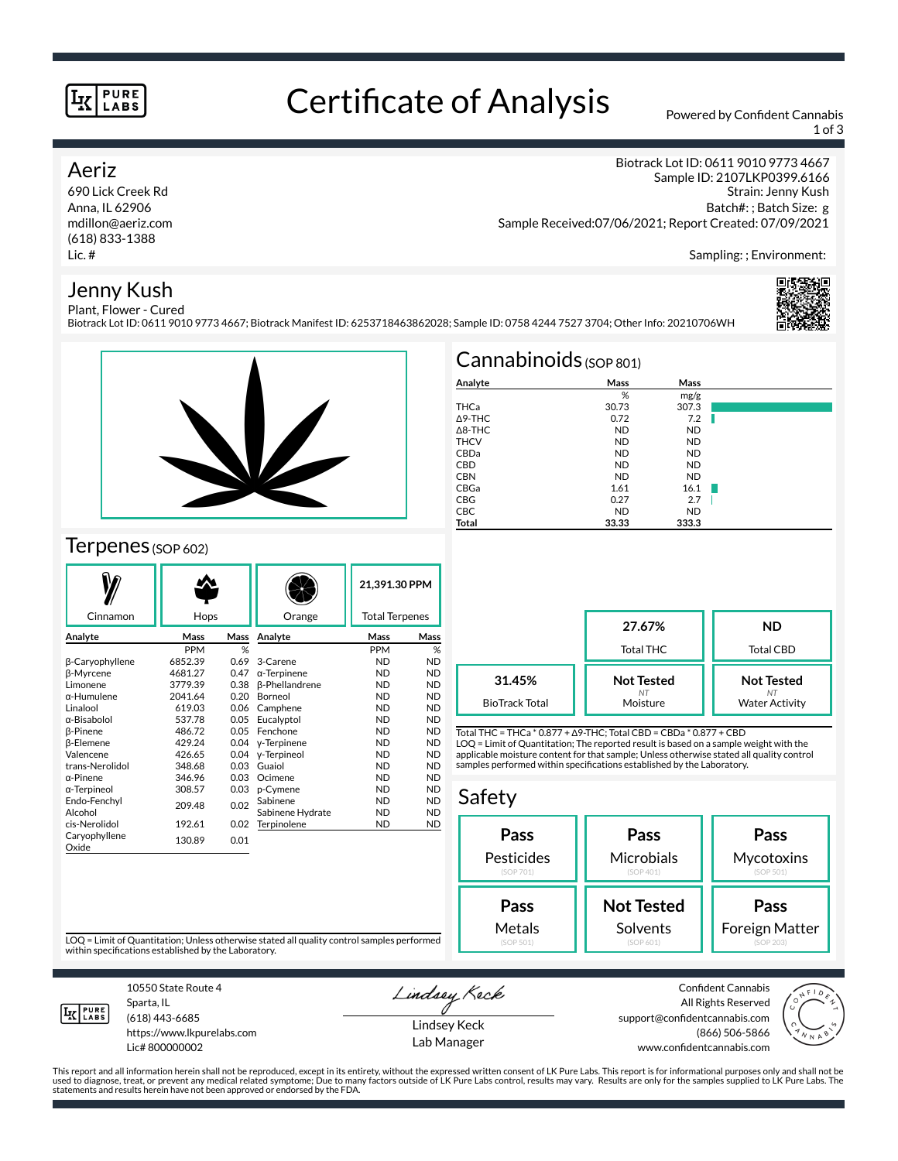#### **PURE LABS**

### Certificate of Analysis Powered by Confident Cannabis

1 of 3

Strain: Jenny Kush Batch#: ; Batch Size: g

Biotrack Lot ID: 0611 9010 9773 4667 Sample ID: 2107LKP0399.6166

#### Aeriz

690 Lick Creek Rd Anna, IL 62906 mdillon@aeriz.com (618) 833-1388 Lic. #

#### Jenny Kush Plant, Flower - Cured

Sampling: ; Environment:

Biotrack Lot ID: 0611 9010 9773 4667; Biotrack Manifest ID: 6253718463862028; Sample ID: 0758 4244 7527 3704; Other Info: 20210706WH



### Terpenes (SOP 602)

|                        |            |      |                       | 21,391.30 PPM         |           |  |
|------------------------|------------|------|-----------------------|-----------------------|-----------|--|
| Cinnamon               | Hops       |      | Orange                | <b>Total Terpenes</b> |           |  |
| Analyte                | Mass       | Mass | Analyte               | Mass                  | Mass      |  |
|                        | <b>PPM</b> | %    |                       | <b>PPM</b>            | %         |  |
| β-Caryophyllene        | 6852.39    | 0.69 | 3-Carene              | <b>ND</b>             | <b>ND</b> |  |
| β-Myrcene              | 4681.27    | 0.47 | $\alpha$ -Terpinene   | <b>ND</b>             | <b>ND</b> |  |
| Limonene               | 3779.39    | 0.38 | <b>ß-Phellandrene</b> | <b>ND</b>             | <b>ND</b> |  |
| $\alpha$ -Humulene     | 2041.64    | 0.20 | Borneol               | <b>ND</b>             | <b>ND</b> |  |
| Linalool               | 619.03     | 0.06 | Camphene              | <b>ND</b>             | <b>ND</b> |  |
| α-Bisabolol            | 537.78     | 0.05 | Eucalyptol            | <b>ND</b>             | <b>ND</b> |  |
| <b>B-Pinene</b>        | 486.72     | 0.05 | Fenchone              | <b>ND</b>             | <b>ND</b> |  |
| <b>ß-Elemene</b>       | 429.24     | 0.04 | y-Terpinene           | <b>ND</b>             | <b>ND</b> |  |
| Valencene              | 426.65     | 0.04 | y-Terpineol           | <b>ND</b>             | <b>ND</b> |  |
| trans-Nerolidol        | 348.68     | 0.03 | Guaiol                | <b>ND</b>             | <b>ND</b> |  |
| $\alpha$ -Pinene       | 346.96     | 0.03 | Ocimene               | <b>ND</b>             | <b>ND</b> |  |
| α-Terpineol            | 308.57     | 0.03 | p-Cymene              | <b>ND</b>             | <b>ND</b> |  |
| Endo-Fenchyl           | 209.48     | 0.02 | Sabinene              | <b>ND</b>             | <b>ND</b> |  |
| Alcohol                |            |      | Sabinene Hydrate      | <b>ND</b>             | <b>ND</b> |  |
| cis-Nerolidol          | 192.61     | 0.02 | Terpinolene           | <b>ND</b>             | <b>ND</b> |  |
| Caryophyllene<br>Oxide | 130.89     | 0.01 |                       |                       |           |  |

| $Cannabinoids$ (SOP 801) |           |           |      |  |  |  |  |
|--------------------------|-----------|-----------|------|--|--|--|--|
| Analyte                  | Mass      | Mass      |      |  |  |  |  |
|                          | %         | mg/g      |      |  |  |  |  |
| THCa                     | 30.73     | 307.3     |      |  |  |  |  |
| $\triangle$ 9-THC        | 0.72      | 7.2       | a ka |  |  |  |  |
| $\triangle$ 8-THC        | <b>ND</b> | <b>ND</b> |      |  |  |  |  |
| <b>THCV</b>              | <b>ND</b> | <b>ND</b> |      |  |  |  |  |
| CBDa                     | <b>ND</b> | <b>ND</b> |      |  |  |  |  |
| <b>CBD</b>               | <b>ND</b> | <b>ND</b> |      |  |  |  |  |
| <b>CBN</b>               | <b>ND</b> | <b>ND</b> |      |  |  |  |  |
| CBGa                     | 1.61      | 16.1      |      |  |  |  |  |
| <b>CBG</b>               | 0.27      | 2.7       |      |  |  |  |  |
| <b>CBC</b>               | <b>ND</b> | <b>ND</b> |      |  |  |  |  |
| <b>Total</b>             | 33.33     | 333.3     |      |  |  |  |  |

Sample Received:07/06/2021; Report Created: 07/09/2021

|                                 | 27.67%<br>Total THC                 | ND<br><b>Total CBD</b>                     |
|---------------------------------|-------------------------------------|--------------------------------------------|
| 31.45%<br><b>BioTrack Total</b> | <b>Not Tested</b><br>NT<br>Moisture | <b>Not Tested</b><br><b>Water Activity</b> |

Total THC = THCa \* 0.877 + ∆9-THC; Total CBD = CBDa \* 0.877 + CBD LOQ = Limit of Quantitation; The reported result is based on a sample weight with the applicable moisture content for that sample; Unless otherwise stated all quality control samples performed within specifications established by the Laboratory.

#### Safety **Pass** Pesticides (SOP 701) **Pass Microbials** (SOP 401) **Pass Mycotoxins** (SOP 501) **Not Tested Solvents Pass** Foreign Matter **Pass** Metals

LOQ = Limit of Quantitation; Unless otherwise stated all quality control samples performed within specifications established by the Laboratory.



Sparta, IL (618) 443-6685

10550 State Route 4

https://www.lkpurelabs.com Lic# 800000002

Lindsey Keck

Lindsey Keck Lab Manager

Confident Cannabis All Rights Reserved support@confidentcannabis.com (866) 506-5866 www.confidentcannabis.com



This report and all information herein shall not be reproduced, except in its entirety, without the expressed written consent of LK Pure Labs. This report is for informational purposes only and shall not be<br>used to diagnos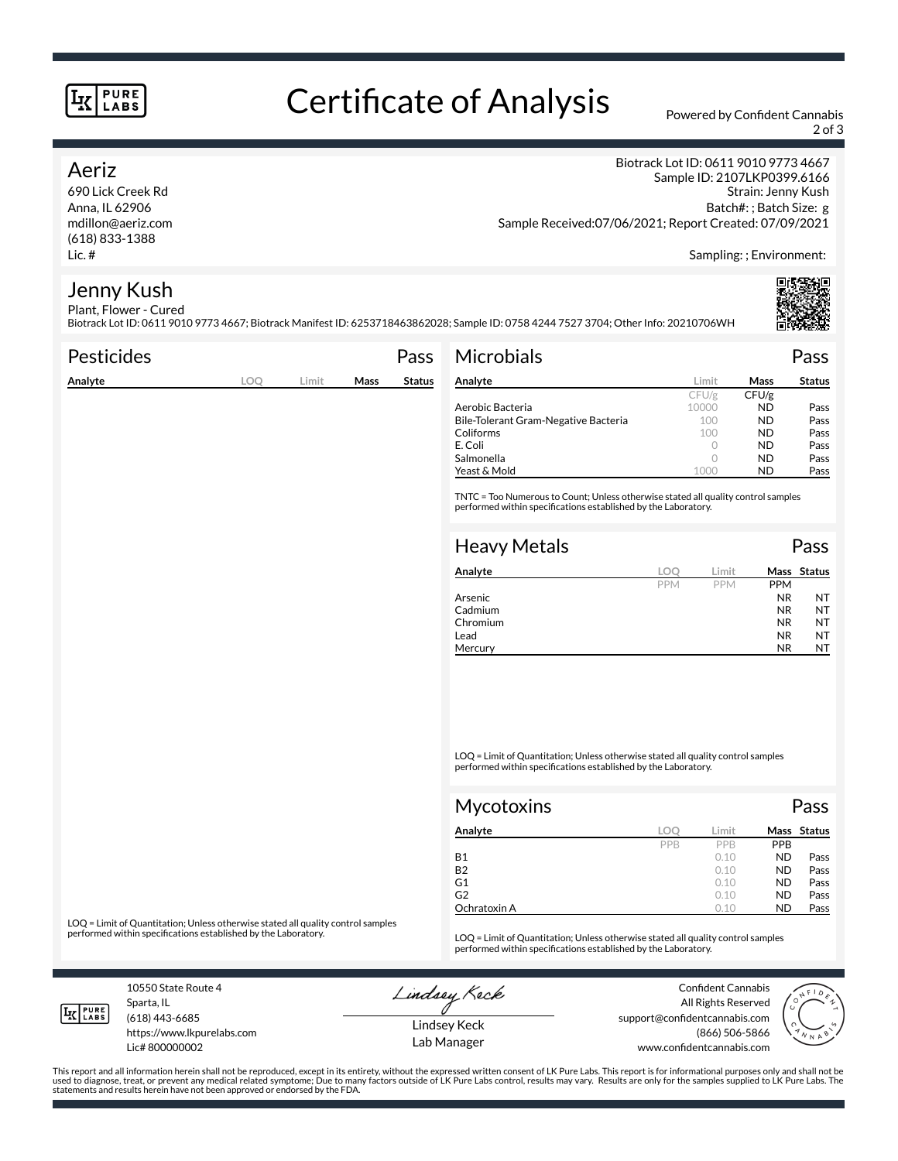#### **PURE LABS**

# Certificate of Analysis Powered by Confident Cannabis

2 of 3

#### Aeriz

690 Lick Creek Rd Anna, IL 62906 mdillon@aeriz.com (618) 833-1388 Lic. #

Biotrack Lot ID: 0611 9010 9773 4667 Sample ID: 2107LKP0399.6166 Strain: Jenny Kush Batch#: ; Batch Size: g Sample Received:07/06/2021; Report Created: 07/09/2021

Sampling: ; Environment:

#### Jenny Kush Plant, Flower - Cured

Biotrack Lot ID: 0611 9010 9773 4667; Biotrack Manifest ID: 6253718463862028; Sample ID: 0758 4244 7527 3704; Other Info: 20210706WH

| <b>Pesticides</b> |     |       |      | Pass          | <b>Microbials</b>                                                                                                                                   |            |            |            | Pass        |
|-------------------|-----|-------|------|---------------|-----------------------------------------------------------------------------------------------------------------------------------------------------|------------|------------|------------|-------------|
| Analyte           | LOQ | Limit | Mass | <b>Status</b> | Analyte                                                                                                                                             |            | Limit      | Mass       | Status      |
|                   |     |       |      |               |                                                                                                                                                     |            | CFU/g      | CFU/g      |             |
|                   |     |       |      |               | Aerobic Bacteria                                                                                                                                    |            | 10000      | ND.        | Pass        |
|                   |     |       |      |               | Bile-Tolerant Gram-Negative Bacteria                                                                                                                |            | 100        | <b>ND</b>  | Pass        |
|                   |     |       |      |               | Coliforms                                                                                                                                           |            | 100        | ND.        | Pass        |
|                   |     |       |      |               | E. Coli                                                                                                                                             |            | $\circ$    | <b>ND</b>  | Pass        |
|                   |     |       |      |               | Salmonella                                                                                                                                          |            | $\circ$    | ND.        | Pass        |
|                   |     |       |      |               | Yeast & Mold                                                                                                                                        |            | 1000       | <b>ND</b>  | Pass        |
|                   |     |       |      |               | TNTC = Too Numerous to Count; Unless otherwise stated all quality control samples<br>performed within specifications established by the Laboratory. |            |            |            |             |
|                   |     |       |      |               | <b>Heavy Metals</b>                                                                                                                                 |            |            |            | Pass        |
|                   |     |       |      |               | Analyte                                                                                                                                             | LOO        | Limit      |            | Mass Status |
|                   |     |       |      |               |                                                                                                                                                     | <b>PPM</b> | <b>PPM</b> | <b>PPM</b> |             |
|                   |     |       |      |               | Arsenic                                                                                                                                             |            |            | <b>NR</b>  | NT          |
|                   |     |       |      |               | Cadmium                                                                                                                                             |            |            | <b>NR</b>  | <b>NT</b>   |

LOQ = Limit of Quantitation; Unless otherwise stated all quality control samples performed within specifications established by the Laboratory.

Chromium NR NT Lead **NR** NT Mercury NR NT

| Mycotoxins   |     |       |            | Pass        |
|--------------|-----|-------|------------|-------------|
| Analyte      | LOC | Limit |            | Mass Status |
|              | PPB | PPB   | <b>PPB</b> |             |
| <b>B1</b>    |     | 0.10  | <b>ND</b>  | Pass        |
| <b>B2</b>    |     | 0.10  | <b>ND</b>  | Pass        |
| G1           |     | 0.10  | <b>ND</b>  | Pass        |
| G2           |     | 0.10  | <b>ND</b>  | Pass        |
| Ochratoxin A |     | 0.10  | <b>ND</b>  | Pass        |

LOQ = Limit of Quantitation; Unless otherwise stated all quality control samples<br>performed within specifications established by the Laboratory.

LOQ = Limit of Quantitation; Unless otherwise stated all quality control samples performed within specifications established by the Laboratory.

10550 State Route 4 Sparta, IL (618) 443-6685

**LK** LABS

Lic# 800000002

https://www.lkpurelabs.com

Lindsey Keck

Confident Cannabis All Rights Reserved support@confidentcannabis.com (866) 506-5866 www.confidentcannabis.com



This report and all information herein shall not be reproduced, except in its entirety, without the expressed written consent of LK Pure Labs. This report is for informational purposes only and shall not be<br>used to diagnos statements and results herein have not been approved or endorsed by the FDA.

Lindsey Keck Lab Manager